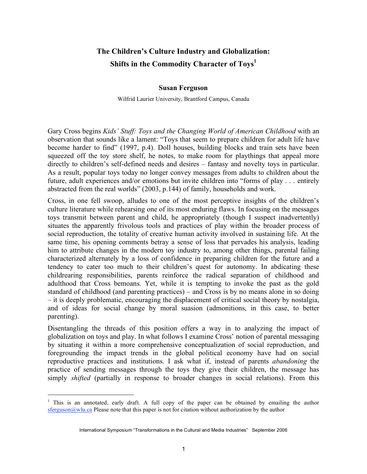# **The Children's Culture Industry and Globalization: Shifts in the Commodity Character of Toys1**

### **Susan Ferguson**

Wilfrid Laurier University, Brantford Campus, Canada

Gary Cross begins *Kids' Stuff: Toys and the Changing World of American Childhood* with an observation that sounds like a lament: "Toys that seem to prepare children for adult life have become harder to find" (1997, p.4). Doll houses, building blocks and train sets have been squeezed off the toy store shelf, he notes, to make room for playthings that appeal more directly to children's self-defined needs and desires – fantasy and novelty toys in particular. As a result, popular toys today no longer convey messages from adults to children about the future, adult experiences and/or emotions but invite children into "forms of play . . . entirely abstracted from the real worlds" (2003, p.144) of family, households and work.

Cross, in one fell swoop, alludes to one of the most perceptive insights of the children's culture literature while rehearsing one of its most enduring flaws. In focusing on the messages toys transmit between parent and child, he appropriately (though I suspect inadvertently) situates the apparently frivolous tools and practices of play within the broader process of social reproduction, the totality of creative human activity involved in sustaining life. At the same time, his opening comments betray a sense of loss that pervades his analysis, leading him to attribute changes in the modern toy industry to, among other things, parental failing characterized alternately by a loss of confidence in preparing children for the future and a tendency to cater too much to their children's quest for autonomy. In abdicating these childrearing responsibilities, parents reinforce the radical separation of childhood and adulthood that Cross bemoans. Yet, while it is tempting to invoke the past as the gold standard of childhood (and parenting practices) – and Cross is by no means alone in so doing – it is deeply problematic, encouraging the displacement of critical social theory by nostalgia, and of ideas for social change by moral suasion (admonitions, in this case, to better parenting).

Disentangling the threads of this position offers a way in to analyzing the impact of globalization on toys and play. In what follows I examine Cross' notion of parental messaging by situating it within a more comprehensive conceptualization of social reproduction, and foregrounding the impact trends in the global political economy have had on social reproductive practices and institutions. I ask what if, instead of parents *abandoning* the practice of sending messages through the toys they give their children, the message has simply *shifted* (partially in response to broader changes in social relations). From this

 $1$  This is an annotated, early draft. A full copy of the paper can be obtained by emailing the author  $s$ ferguson@wlu.ca Please note that this paper is not for citation without authorization by the author

International Symposium "Transformations in the Cultural and Media Industries" September 2006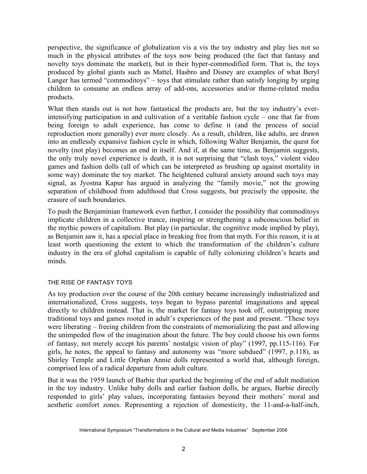perspective, the significance of globalization vis a vis the toy industry and play lies not so much in the physical attributes of the toys now being produced (the fact that fantasy and novelty toys dominate the market), but in their hyper-commodified form. That is, the toys produced by global giants such as Mattel, Hasbro and Disney are examples of what Beryl Langer has termed "commoditoys" – toys that stimulate rather than satisfy longing by urging children to consume an endless array of add-ons, accessories and/or theme-related media products.

What then stands out is not how fantastical the products are, but the toy industry's everintensifying participation in and cultivation of a veritable fashion cycle – one that far from being foreign to adult experience, has come to define it (and the process of social reproduction more generally) ever more closely. As a result, children, like adults, are drawn into an endlessly expansive fashion cycle in which, following Walter Benjamin, the quest for novelty (not play) becomes an end in itself. And if, at the same time, as Benjamin suggests, the only truly novel experience is death, it is not surprising that "clash toys," violent video games and fashion dolls (all of which can be interpreted as brushing up against mortality in some way) dominate the toy market. The heightened cultural anxiety around such toys may signal, as Jyostna Kapur has argued in analyzing the "family movie," not the growing separation of childhood from adulthood that Cross suggests, but precisely the opposite, the erasure of such boundaries.

To push the Benjaminian framework even further, I consider the possibility that commoditoys implicate children in a collective trance, inspiring or strengthening a subconscious belief in the mythic powers of capitalism. But play (in particular, the cognitive mode implied by play), as Benjamin saw it, has a special place in breaking free from that myth. For this reason, it is at least worth questioning the extent to which the transformation of the children's culture industry in the era of global capitalism is capable of fully colonizing children's hearts and minds.

## THE RISE OF FANTASY TOYS

As toy production over the course of the 20th century became increasingly industrialized and internationalized, Cross suggests, toys began to bypass parental imaginations and appeal directly to children instead. That is, the market for fantasy toys took off, outstripping more traditional toys and games rooted in adult's experiences of the past and present. "These toys were liberating – freeing children from the constraints of memorializing the past and allowing the unimpeded flow of the imagination about the future. The boy could choose his own forms of fantasy, not merely accept his parents' nostalgic vision of play" (1997, pp.115-116). For girls, he notes, the appeal to fantasy and autonomy was "more subdued" (1997, p.118), as Shirley Temple and Little Orphan Annie dolls represented a world that, although foreign, comprised less of a radical departure from adult culture.

But it was the 1959 launch of Barbie that sparked the beginning of the end of adult mediation in the toy industry. Unlike baby dolls and earlier fashion dolls, he argues, Barbie directly responded to girls' play values, incorporating fantasies beyond their mothers' moral and aesthetic comfort zones. Representing a rejection of domesticity, the 11-and-a-half-inch,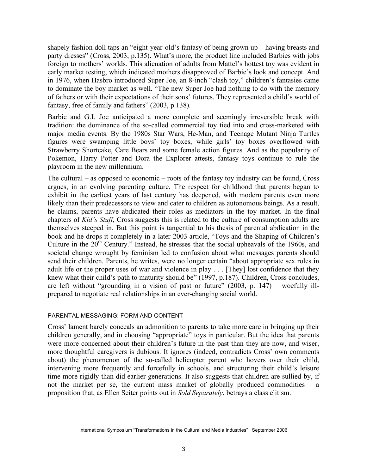shapely fashion doll taps an "eight-year-old's fantasy of being grown up – having breasts and party dresses" (Cross, 2003, p.135). What's more, the product line included Barbies with jobs foreign to mothers' worlds. This alienation of adults from Mattel's hottest toy was evident in early market testing, which indicated mothers disapproved of Barbie's look and concept. And in 1976, when Hasbro introduced Super Joe, an 8-inch "clash toy," children's fantasies came to dominate the boy market as well. "The new Super Joe had nothing to do with the memory of fathers or with their expectations of their sons' futures. They represented a child's world of fantasy, free of family and fathers" (2003, p.138).

Barbie and G.I. Joe anticipated a more complete and seemingly irreversible break with tradition: the dominance of the so-called commercial toy tied into and cross-marketed with major media events. By the 1980s Star Wars, He-Man, and Teenage Mutant Ninja Turtles figures were swamping little boys' toy boxes, while girls' toy boxes overflowed with Strawberry Shortcake, Care Bears and some female action figures. And as the popularity of Pokemon, Harry Potter and Dora the Explorer attests, fantasy toys continue to rule the playroom in the new millennium.

The cultural – as opposed to economic – roots of the fantasy toy industry can be found, Cross argues, in an evolving parenting culture. The respect for childhood that parents began to exhibit in the earliest years of last century has deepened, with modern parents even more likely than their predecessors to view and cater to children as autonomous beings. As a result, he claims, parents have abdicated their roles as mediators in the toy market. In the final chapters of *Kid's Stuff*, Cross suggests this is related to the culture of consumption adults are themselves steeped in. But this point is tangential to his thesis of parental abdication in the book and he drops it completely in a later 2003 article, "Toys and the Shaping of Children's Culture in the  $20<sup>th</sup>$  Century." Instead, he stresses that the social upheavals of the 1960s, and societal change wrought by feminism led to confusion about what messages parents should send their children. Parents, he writes, were no longer certain "about appropriate sex roles in adult life or the proper uses of war and violence in play . . . [They] lost confidence that they knew what their child's path to maturity should be" (1997, p.187). Children, Cross concludes, are left without "grounding in a vision of past or future" (2003, p. 147) – woefully illprepared to negotiate real relationships in an ever-changing social world.

#### PARENTAL MESSAGING: FORM AND CONTENT

Cross' lament barely conceals an admonition to parents to take more care in bringing up their children generally, and in choosing "appropriate" toys in particular. But the idea that parents were more concerned about their children's future in the past than they are now, and wiser, more thoughtful caregivers is dubious. It ignores (indeed, contradicts Cross' own comments about) the phenomenon of the so-called helicopter parent who hovers over their child, intervening more frequently and forcefully in schools, and structuring their child's leisure time more rigidly than did earlier generations. It also suggests that children are sullied by, if not the market per se, the current mass market of globally produced commodities – a proposition that, as Ellen Seiter points out in *Sold Separately*, betrays a class elitism.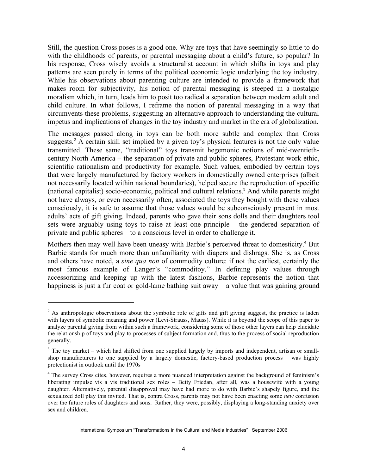Still, the question Cross poses is a good one. Why are toys that have seemingly so little to do with the childhoods of parents, or parental messaging about a child's future, so popular? In his response, Cross wisely avoids a structuralist account in which shifts in toys and play patterns are seen purely in terms of the political economic logic underlying the toy industry. While his observations about parenting culture are intended to provide a framework that makes room for subjectivity, his notion of parental messaging is steeped in a nostalgic moralism which, in turn, leads him to posit too radical a separation between modern adult and child culture. In what follows, I reframe the notion of parental messaging in a way that circumvents these problems, suggesting an alternative approach to understanding the cultural impetus and implications of changes in the toy industry and market in the era of globalization.

The messages passed along in toys can be both more subtle and complex than Cross suggests.<sup>2</sup> A certain skill set implied by a given toy's physical features is not the only value transmitted. These same, "traditional" toys transmit hegemonic notions of mid-twentiethcentury North America – the separation of private and public spheres, Protestant work ethic, scientific rationalism and productivity for example. Such values, embodied by certain toys that were largely manufactured by factory workers in domestically owned enterprises (albeit not necessarily located within national boundaries), helped secure the reproduction of specific (national capitalist) socio-economic, political and cultural relations. <sup>3</sup> And while parents might not have always, or even necessarily often, associated the toys they bought with these values consciously, it is safe to assume that those values would be subconsciously present in most adults' acts of gift giving. Indeed, parents who gave their sons dolls and their daughters tool sets were arguably using toys to raise at least one principle – the gendered separation of private and public spheres – to a conscious level in order to challenge it.

Mothers then may well have been uneasy with Barbie's perceived threat to domesticity.<sup>4</sup> But Barbie stands for much more than unfamiliarity with diapers and dishrags. She is, as Cross and others have noted, a *sine qua non* of commodity culture: if not the earliest, certainly the most famous example of Langer's "commoditoy." In defining play values through accessorizing and keeping up with the latest fashions, Barbie represents the notion that happiness is just a fur coat or gold-lame bathing suit away – a value that was gaining ground

 $2 \text{ As anthrop, of the two different points are given by } 2 \text{ and } 2 \text{ is the same.}$ with layers of symbolic meaning and power (Levi-Strauss, Mauss). While it is beyond the scope of this paper to analyze parental giving from within such a framework, considering some of those other layers can help elucidate the relationship of toys and play to processes of subject formation and, thus to the process of social reproduction generally.

 $3$  The toy market – which had shifted from one supplied largely by imports and independent, artisan or smallshop manufacturers to one supplied by a largely domestic, factory-based production process – was highly protectionist in outlook until the 1970s

<sup>&</sup>lt;sup>4</sup> The survey Cross cites, however, requires a more nuanced interpretation against the background of feminism's liberating impulse vis a vis traditional sex roles – Betty Friedan, after all, was a housewife with a young daughter. Alternatively, parental disapproval may have had more to do with Barbie's shapely figure, and the sexualized doll play this invited. That is, contra Cross, parents may not have been enacting some *new* confusion over the future roles of daughters and sons. Rather, they were, possibly, displaying a long-standing anxiety over sex and children.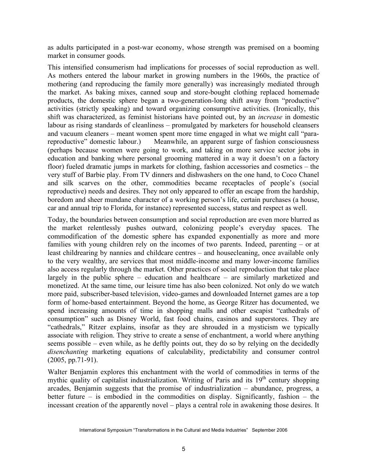as adults participated in a post-war economy, whose strength was premised on a booming market in consumer goods.

This intensified consumerism had implications for processes of social reproduction as well. As mothers entered the labour market in growing numbers in the 1960s, the practice of mothering (and reproducing the family more generally) was increasingly mediated through the market. As baking mixes, canned soup and store-bought clothing replaced homemade products, the domestic sphere began a two-generation-long shift away from "productive" activities (strictly speaking) and toward organizing consumptive activities. (Ironically, this shift was characterized, as feminist historians have pointed out, by an *increase* in domestic labour as rising standards of cleanliness – promulgated by marketers for household cleansers and vacuum cleaners – meant women spent more time engaged in what we might call "parareproductive" domestic labour.) Meanwhile, an apparent surge of fashion consciousness (perhaps because women were going to work, and taking on more service sector jobs in education and banking where personal grooming mattered in a way it doesn't on a factory floor) fueled dramatic jumps in markets for clothing, fashion accessories and cosmetics – the very stuff of Barbie play. From TV dinners and dishwashers on the one hand, to Coco Chanel and silk scarves on the other, commodities became receptacles of people's (social reproductive) needs and desires. They not only appeared to offer an escape from the hardship, boredom and sheer mundane character of a working person's life, certain purchases (a house, car and annual trip to Florida, for instance) represented success, status and respect as well.

Today, the boundaries between consumption and social reproduction are even more blurred as the market relentlessly pushes outward, colonizing people's everyday spaces. The commodification of the domestic sphere has expanded exponentially as more and more families with young children rely on the incomes of two parents. Indeed, parenting – or at least childrearing by nannies and childcare centres – and housecleaning, once available only to the very wealthy, are services that most middle-income and many lower-income families also access regularly through the market. Other practices of social reproduction that take place largely in the public sphere – education and healthcare – are similarly marketized and monetized. At the same time, our leisure time has also been colonized. Not only do we watch more paid, subscriber-based television, video-games and downloaded Internet games are a top form of home-based entertainment. Beyond the home, as George Ritzer has documented, we spend increasing amounts of time in shopping malls and other escapist "cathedrals of consumption" such as Disney World, fast food chains, casinos and superstores. They are "cathedrals," Ritzer explains, insofar as they are shrouded in a mysticism we typically associate with religion. They strive to create a sense of enchantment, a world where anything seems possible – even while, as he deftly points out, they do so by relying on the decidedly *disenchanting* marketing equations of calculability, predictability and consumer control (2005, pp.71-91).

Walter Benjamin explores this enchantment with the world of commodities in terms of the mythic quality of capitalist industrialization. Writing of Paris and its  $19<sup>th</sup>$  century shopping arcades, Benjamin suggests that the promise of industrialization – abundance, progress, a better future – is embodied in the commodities on display. Significantly, fashion – the incessant creation of the apparently novel – plays a central role in awakening those desires. It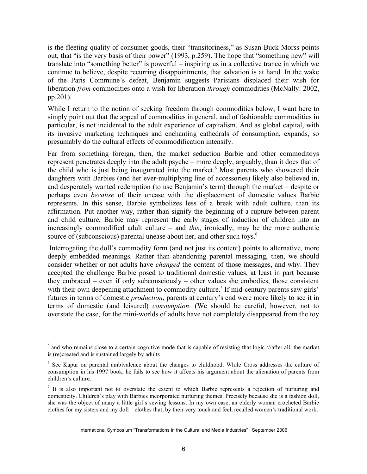is the fleeting quality of consumer goods, their "transitoriness," as Susan Buck-Morss points out, that "is the very basis of their power" (1993, p.259). The hope that "something new" will translate into "something better" is powerful – inspiring us in a collective trance in which we continue to believe, despite recurring disappointments, that salvation is at hand. In the wake of the Paris Commune's defeat, Benjamin suggests Parisians displaced their wish for liberation *from* commodities onto a wish for liberation *through* commodities (McNally: 2002, pp.201).

While I return to the notion of seeking freedom through commodities below, I want here to simply point out that the appeal of commodities in general, and of fashionable commodities in particular, is not incidental to the adult experience of capitalism. And as global capital, with its invasive marketing techniques and enchanting cathedrals of consumption, expands, so presumably do the cultural effects of commodification intensify.

Far from something foreign, then, the market seduction Barbie and other commoditoys represent penetrates deeply into the adult psyche – more deeply, arguably, than it does that of the child who is just being inaugurated into the market. <sup>5</sup> Most parents who showered their daughters with Barbies (and her ever-multiplying line of accessories) likely also believed in, and desperately wanted redemption (to use Benjamin's term) through the market – despite or perhaps even *because* of their unease with the displacement of domestic values Barbie represents. In this sense, Barbie symbolizes less of a break with adult culture, than its affirmation. Put another way, rather than signify the beginning of a rupture between parent and child culture, Barbie may represent the early stages of induction of children into an increasingly commodified adult culture – and *this*, ironically, may be the more authentic source of (subconscious) parental unease about her, and other such toys.<sup>6</sup>

Interrogating the doll's commodity form (and not just its content) points to alternative, more deeply embedded meanings. Rather than abandoning parental messaging, then, we should consider whether or not adults have *changed* the content of those messages, and why. They accepted the challenge Barbie posed to traditional domestic values, at least in part because they embraced – even if only subconsciously – other values she embodies, those consistent with their own deepening attachment to commodity culture.<sup>7</sup> If mid-century parents saw girls' futures in terms of domestic *production*, parents at century's end were more likely to see it in terms of domestic (and leisured) *consumption*. (We should be careful, however, not to overstate the case, for the mini-worlds of adults have not completely disappeared from the toy

 $<sup>5</sup>$  and who remains close to a certain cognitive mode that is capable of resisting that logic ///after all, the market</sup> is (re)created and is sustained largely by adults

<sup>6</sup> See Kapur on parental ambivalence about the changes to childhood. While Cross addresses the culture of consumption in his 1997 book, he fails to see how it affects his argument about the alienation of parents from children's culture.

 $<sup>7</sup>$  It is also important not to overstate the extent to which Barbie represents a rejection of nurturing and</sup> domesticity. Children's play with Barbies incorporated nurturing themes. Precisely because she is a fashion doll, she was the object of many a little girl's sewing lessons. In my own case, an elderly woman crocheted Barbie clothes for my sisters and my doll – clothes that, by their very touch and feel, recalled women's traditional work.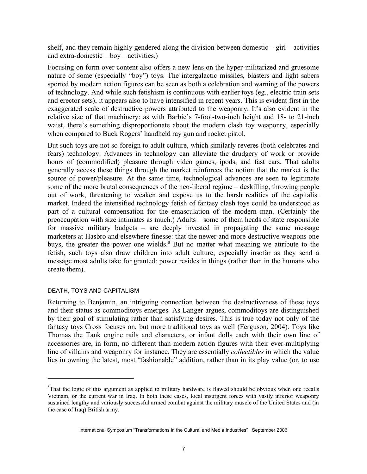shelf, and they remain highly gendered along the division between domestic – girl – activities and extra-domestic – boy – activities.)

Focusing on form over content also offers a new lens on the hyper-militarized and gruesome nature of some (especially "boy") toys. The intergalactic missiles, blasters and light sabers sported by modern action figures can be seen as both a celebration and warning of the powers of technology. And while such fetishism is continuous with earlier toys (eg., electric train sets and erector sets), it appears also to have intensified in recent years. This is evident first in the exaggerated scale of destructive powers attributed to the weaponry. It's also evident in the relative size of that machinery: as with Barbie's 7-foot-two-inch height and 18- to 21-inch waist, there's something disproportionate about the modern clash toy weaponry, especially when compared to Buck Rogers' handheld ray gun and rocket pistol.

But such toys are not so foreign to adult culture, which similarly reveres (both celebrates and fears) technology. Advances in technology can alleviate the drudgery of work or provide hours of (commodified) pleasure through video games, ipods, and fast cars. That adults generally access these things through the market reinforces the notion that the market is the source of power/pleasure. At the same time, technological advances are seen to legitimate some of the more brutal consequences of the neo-liberal regime – deskilling, throwing people out of work, threatening to weaken and expose us to the harsh realities of the capitalist market. Indeed the intensified technology fetish of fantasy clash toys could be understood as part of a cultural compensation for the emasculation of the modern man. (Certainly the preoccupation with size intimates as much.) Adults – some of them heads of state responsible for massive military budgets – are deeply invested in propagating the same message marketers at Hasbro and elsewhere finesse: that the newer and more destructive weapons one buys, the greater the power one wields. <sup>8</sup> But no matter what meaning we attribute to the fetish, such toys also draw children into adult culture, especially insofar as they send a message most adults take for granted: power resides in things (rather than in the humans who create them).

#### DEATH, TOYS AND CAPITALISM

 $\overline{a}$ 

Returning to Benjamin, an intriguing connection between the destructiveness of these toys and their status as commoditoys emerges. As Langer argues, commoditoys are distinguished by their goal of stimulating rather than satisfying desires. This is true today not only of the fantasy toys Cross focuses on, but more traditional toys as well (Ferguson, 2004). Toys like Thomas the Tank engine rails and characters, or infant dolls each with their own line of accessories are, in form, no different than modern action figures with their ever-multiplying line of villains and weaponry for instance. They are essentially *collectibles* in which the value lies in owning the latest, most "fashionable" addition, rather than in its play value (or, to use

<sup>&</sup>lt;sup>8</sup>That the logic of this argument as applied to military hardware is flawed should be obvious when one recalls Vietnam, or the current war in Iraq. In both these cases, local insurgent forces with vastly inferior weaponry sustained lengthy and variously successful armed combat against the military muscle of the United States and (in the case of Iraq) British army.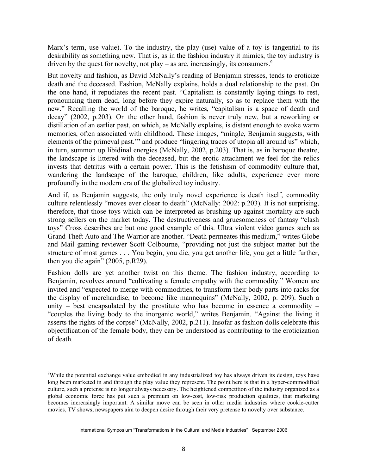Marx's term, use value). To the industry, the play (use) value of a toy is tangential to its desirability as something new. That is, as in the fashion industry it mimics, the toy industry is driven by the quest for novelty, not play – as are, increasingly, its consumers.<sup>9</sup>

But novelty and fashion, as David McNally's reading of Benjamin stresses, tends to eroticize death and the deceased. Fashion, McNally explains, holds a dual relationship to the past. On the one hand, it repudiates the recent past. "Capitalism is constantly laying things to rest, pronouncing them dead, long before they expire naturally, so as to replace them with the new." Recalling the world of the baroque, he writes, "capitalism is a space of death and decay" (2002, p.203). On the other hand, fashion is never truly new, but a reworking or distillation of an earlier past, on which, as McNally explains, is distant enough to evoke warm memories, often associated with childhood. These images, "mingle, Benjamin suggests, with elements of the primeval past.'" and produce "lingering traces of utopia all around us" which, in turn, summon up libidinal energies (McNally, 2002, p.203). That is, as in baroque theatre, the landscape is littered with the deceased, but the erotic attachment we feel for the relics invests that detritus with a certain power. This is the fetishism of commodity culture that, wandering the landscape of the baroque, children, like adults, experience ever more profoundly in the modern era of the globalized toy industry.

And if, as Benjamin suggests, the only truly novel experience is death itself, commodity culture relentlessly "moves ever closer to death" (McNally: 2002: p.203). It is not surprising, therefore, that those toys which can be interpreted as brushing up against mortality are such strong sellers on the market today. The destructiveness and gruesomeness of fantasy "clash toys" Cross describes are but one good example of this. Ultra violent video games such as Grand Theft Auto and The Warrior are another. "Death permeates this medium," writes Globe and Mail gaming reviewer Scott Colbourne, "providing not just the subject matter but the structure of most games . . . You begin, you die, you get another life, you get a little further, then you die again" (2005, p.R29).

Fashion dolls are yet another twist on this theme. The fashion industry, according to Benjamin, revolves around "cultivating a female empathy with the commodity." Women are invited and "expected to merge with commodities, to transform their body parts into racks for the display of merchandise, to become like mannequins" (McNally, 2002, p. 209). Such a unity – best encapsulated by the prostitute who has become in essence a commodity – "couples the living body to the inorganic world," writes Benjamin. "Against the living it asserts the rights of the corpse" (McNally, 2002, p.211). Insofar as fashion dolls celebrate this objectification of the female body, they can be understood as contributing to the eroticization of death.

<sup>&</sup>lt;sup>9</sup>While the potential exchange value embodied in any industrialized toy has always driven its design, toys have long been marketed in and through the play value they represent. The point here is that in a hyper-commodified culture, such a pretense is no longer always necessary. The heightened competition of the industry organized as a global economic force has put such a premium on low-cost, low-risk production qualities, that marketing becomes increasingly important. A similar move can be seen in other media industries where cookie-cutter movies, TV shows, newspapers aim to deepen desire through their very pretense to novelty over substance.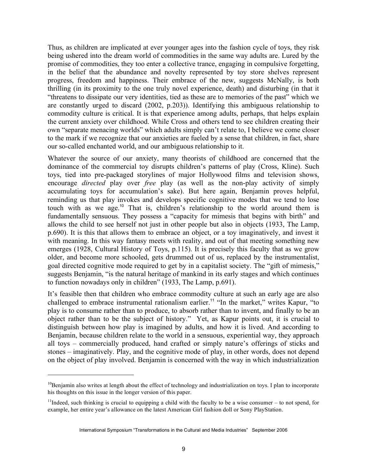Thus, as children are implicated at ever younger ages into the fashion cycle of toys, they risk being ushered into the dream world of commodities in the same way adults are. Lured by the promise of commodities, they too enter a collective trance, engaging in compulsive forgetting, in the belief that the abundance and novelty represented by toy store shelves represent progress, freedom and happiness. Their embrace of the new, suggests McNally, is both thrilling (in its proximity to the one truly novel experience, death) and disturbing (in that it "threatens to dissipate our very identities, tied as these are to memories of the past" which we are constantly urged to discard (2002, p.203)). Identifying this ambiguous relationship to commodity culture is critical. It is that experience among adults, perhaps, that helps explain the current anxiety over childhood. While Cross and others tend to see children creating their own "separate menacing worlds" which adults simply can't relate to, I believe we come closer to the mark if we recognize that our anxieties are fueled by a sense that children, in fact, share our so-called enchanted world, and our ambiguous relationship to it.

Whatever the source of our anxiety, many theorists of childhood are concerned that the dominance of the commercial toy disrupts children's patterns of play (Cross, Kline). Such toys, tied into pre-packaged storylines of major Hollywood films and television shows, encourage *directed* play over *free* play (as well as the non-play activity of simply accumulating toys for accumulation's sake). But here again, Benjamin proves helpful, reminding us that play invokes and develops specific cognitive modes that we tend to lose touch with as we age. <sup>10</sup> That is, children's relationship to the world around them is fundamentally sensuous. They possess a "capacity for mimesis that begins with birth" and allows the child to see herself not just in other people but also in objects (1933, The Lamp, p.690). It is this that allows them to embrace an object, or a toy imaginatively, and invest it with meaning. In this way fantasy meets with reality, and out of that meeting something new emerges (1928, Cultural History of Toys, p.115). It is precisely this faculty that as we grow older, and become more schooled, gets drummed out of us, replaced by the instrumentalist, goal directed cognitive mode required to get by in a capitalist society. The "gift of mimesis," suggests Benjamin, "is the natural heritage of mankind in its early stages and which continues to function nowadays only in children" (1933, The Lamp, p.691).

It's feasible then that children who embrace commodity culture at such an early age are also challenged to embrace instrumental rationalism earlier.<sup>11</sup> "In the market," writes Kapur, "to play is to consume rather than to produce, to absorb rather than to invent, and finally to be an object rather than to be the subject of history." Yet, as Kapur points out, it is crucial to distinguish between how play is imagined by adults, and how it is lived. And according to Benjamin, because children relate to the world in a sensuous, experiential way, they approach all toys – commercially produced, hand crafted or simply nature's offerings of sticks and stones – imaginatively. Play, and the cognitive mode of play, in other words, does not depend on the object of play involved. Benjamin is concerned with the way in which industrialization

<sup>&</sup>lt;sup>10</sup>Benjamin also writes at length about the effect of technology and industrialization on toys. I plan to incorporate his thoughts on this issue in the longer version of this paper.

<sup>&</sup>lt;sup>11</sup>Indeed, such thinking is crucial to equipping a child with the faculty to be a wise consumer – to not spend, for example, her entire year's allowance on the latest American Girl fashion doll or Sony PlayStation.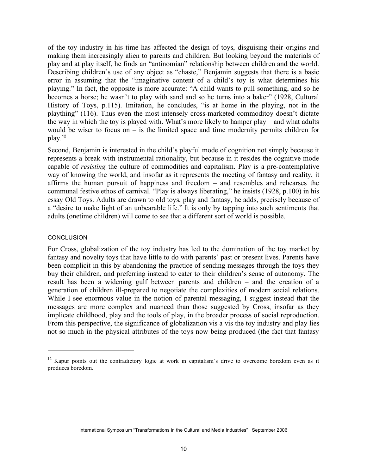of the toy industry in his time has affected the design of toys, disguising their origins and making them increasingly alien to parents and children. But looking beyond the materials of play and at play itself, he finds an "antinomian" relationship between children and the world. Describing children's use of any object as "chaste," Benjamin suggests that there is a basic error in assuming that the "imaginative content of a child's toy is what determines his playing." In fact, the opposite is more accurate: "A child wants to pull something, and so he becomes a horse; he wasn't to play with sand and so he turns into a baker" (1928, Cultural History of Toys, p.115). Imitation, he concludes, "is at home in the playing, not in the plaything" (116). Thus even the most intensely cross-marketed commoditoy doesn't dictate the way in which the toy is played with. What's more likely to hamper play – and what adults would be wiser to focus on – is the limited space and time modernity permits children for play.<sup>12</sup>

Second, Benjamin is interested in the child's playful mode of cognition not simply because it represents a break with instrumental rationality, but because in it resides the cognitive mode capable of *resisting* the culture of commodities and capitalism. Play is a pre-contemplative way of knowing the world, and insofar as it represents the meeting of fantasy and reality, it affirms the human pursuit of happiness and freedom – and resembles and rehearses the communal festive ethos of carnival. "Play is always liberating," he insists (1928, p.100) in his essay Old Toys. Adults are drawn to old toys, play and fantasy, he adds, precisely because of a "desire to make light of an unbearable life." It is only by tapping into such sentiments that adults (onetime children) will come to see that a different sort of world is possible.

#### **CONCLUSION**

 $\overline{a}$ 

For Cross, globalization of the toy industry has led to the domination of the toy market by fantasy and novelty toys that have little to do with parents' past or present lives. Parents have been complicit in this by abandoning the practice of sending messages through the toys they buy their children, and preferring instead to cater to their children's sense of autonomy. The result has been a widening gulf between parents and children – and the creation of a generation of children ill-prepared to negotiate the complexities of modern social relations. While I see enormous value in the notion of parental messaging, I suggest instead that the messages are more complex and nuanced than those suggested by Cross, insofar as they implicate childhood, play and the tools of play, in the broader process of social reproduction. From this perspective, the significance of globalization vis a vis the toy industry and play lies not so much in the physical attributes of the toys now being produced (the fact that fantasy

 $12$  Kapur points out the contradictory logic at work in capitalism's drive to overcome boredom even as it produces boredom.